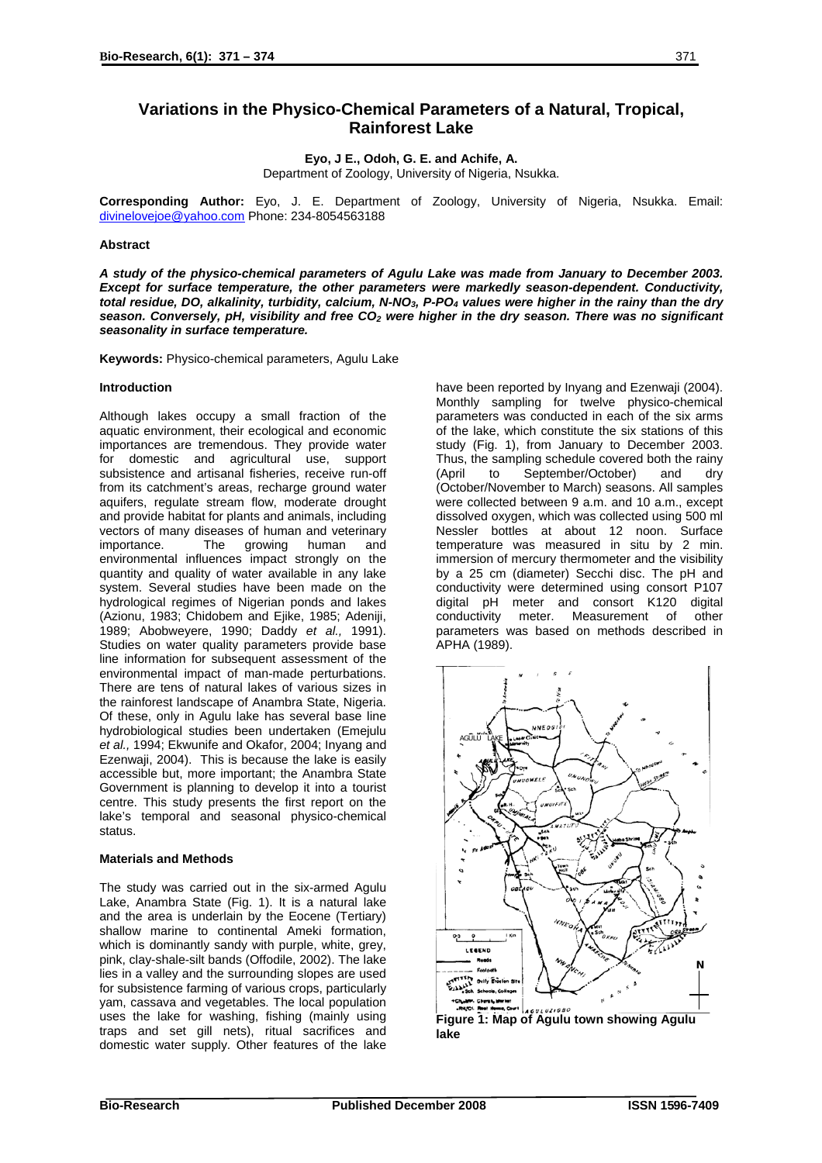# **Variations in the Physico-Chemical Parameters of a Natural, Tropical, Rainforest Lake**

**Eyo, J E., Odoh, G. E. and Achife, A.**

Department of Zoology, University of Nigeria, Nsukka.

**Corresponding Author:** Eyo, J. E. Department of Zoology, University of Nigeria, Nsukka. Email: [divinelovejoe@yahoo.com](mailto:divinelovejoe@yahoo.com) Phone: 234-8054563188

## **Abstract**

*A study of the physico-chemical parameters of Agulu Lake was made from January to December 2003. Except for surface temperature, the other parameters were markedly season-dependent. Conductivity, total residue, DO, alkalinity, turbidity, calcium, N-NO3, P-PO4 values were higher in the rainy than the dry* season. Conversely, pH, visibility and free CO<sub>2</sub> were higher in the dry season. There was no significant *seasonality in surface temperature.* 

**Keywords:** Physico-chemical parameters, Agulu Lake

### **Introduction**

Although lakes occupy a small fraction of the aquatic environment, their ecological and economic importances are tremendous. They provide water for domestic and agricultural use, support subsistence and artisanal fisheries, receive run-off from its catchment's areas, recharge ground water aquifers, regulate stream flow, moderate drought and provide habitat for plants and animals, including vectors of many diseases of human and veterinary importance. The growing human and environmental influences impact strongly on the quantity and quality of water available in any lake system. Several studies have been made on the hydrological regimes of Nigerian ponds and lakes (Azionu, 1983; Chidobem and Ejike, 1985; Adeniji, 1989; Abobweyere, 1990; Daddy *et al.,* 1991). Studies on water quality parameters provide base line information for subsequent assessment of the environmental impact of man-made perturbations. There are tens of natural lakes of various sizes in the rainforest landscape of Anambra State, Nigeria. Of these, only in Agulu lake has several base line hydrobiological studies been undertaken (Emejulu *et al.,* 1994; Ekwunife and Okafor, 2004; Inyang and Ezenwaji, 2004). This is because the lake is easily accessible but, more important; the Anambra State Government is planning to develop it into a tourist centre. This study presents the first report on the lake's temporal and seasonal physico-chemical status.

### **Materials and Methods**

The study was carried out in the six-armed Agulu Lake, Anambra State (Fig. 1). It is a natural lake and the area is underlain by the Eocene (Tertiary) shallow marine to continental Ameki formation, which is dominantly sandy with purple, white, grey, pink, clay-shale-silt bands (Offodile, 2002). The lake lies in a valley and the surrounding slopes are used for subsistence farming of various crops, particularly yam, cassava and vegetables. The local population uses the lake for washing, fishing (mainly using traps and set gill nets), ritual sacrifices and domestic water supply. Other features of the lake

have been reported by Inyang and Ezenwaji (2004). Monthly sampling for twelve physico-chemical parameters was conducted in each of the six arms of the lake, which constitute the six stations of this study (Fig. 1), from January to December 2003. Thus, the sampling schedule covered both the rainy (April to September/October) and dry (October/November to March) seasons. All samples were collected between 9 a.m. and 10 a.m., except dissolved oxygen, which was collected using 500 ml Nessler bottles at about 12 noon. Surface temperature was measured in situ by 2 min. immersion of mercury thermometer and the visibility by a 25 cm (diameter) Secchi disc. The pH and conductivity were determined using consort P107 digital pH meter and consort K120 digital conductivity meter. Measurement of other parameters was based on methods described in APHA (1989).

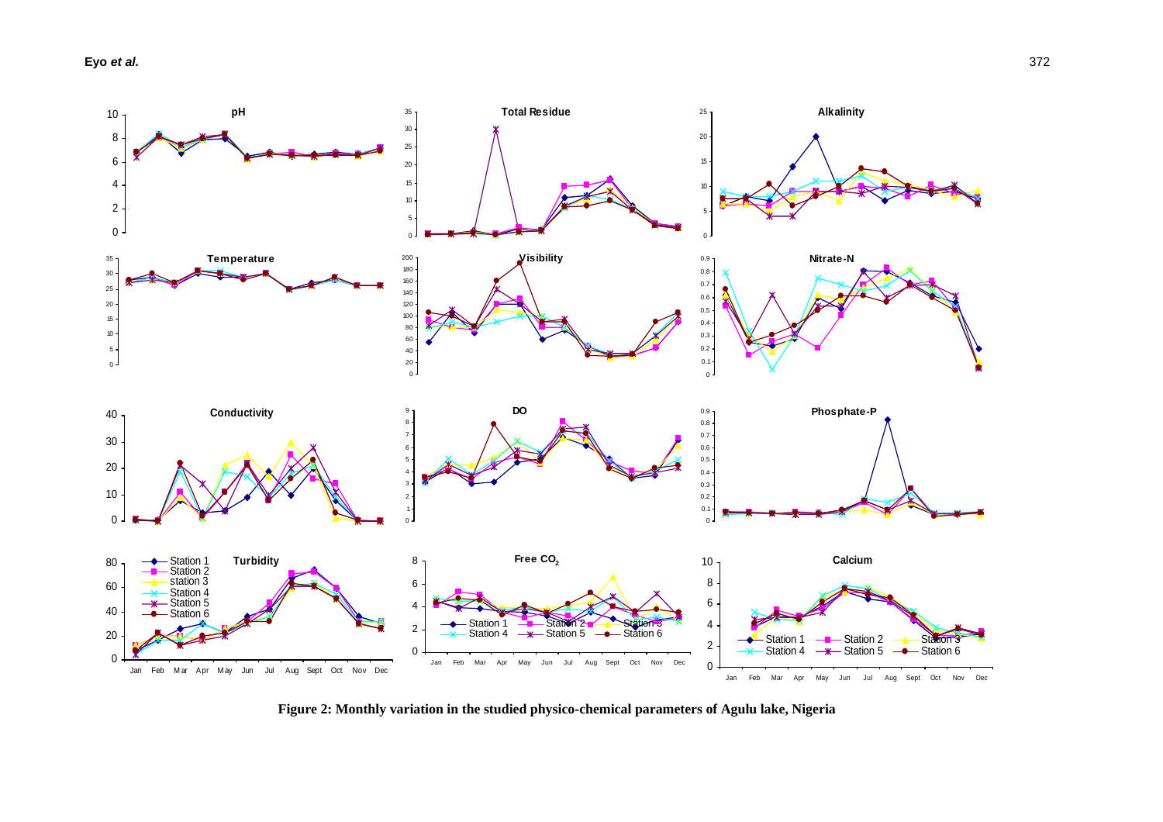**Eyo** *et al.* 372



**Figure 2: Monthly variation in the studied physico-chemical parameters of Agulu lake, Nigeria**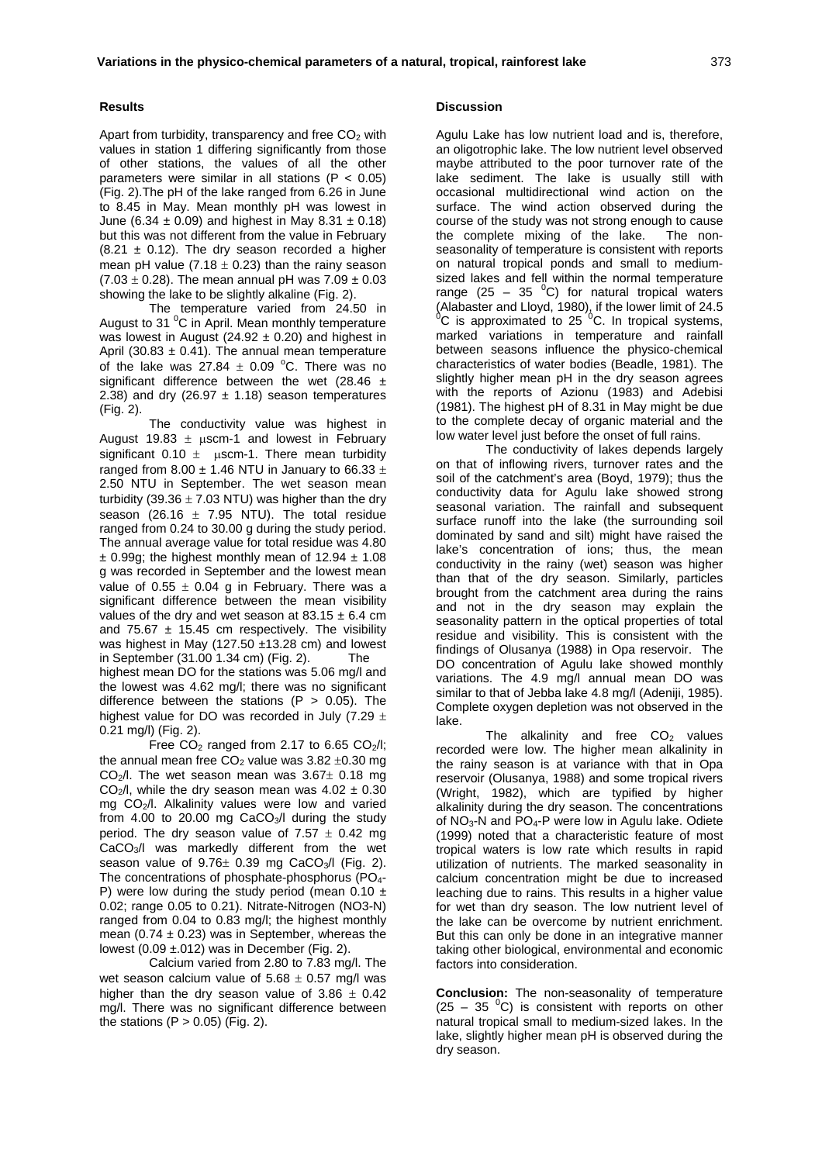Apart from turbidity, transparency and free  $CO<sub>2</sub>$  with values in station 1 differing significantly from those of other stations, the values of all the other parameters were similar in all stations ( $P < 0.05$ ) (Fig. 2).The pH of the lake ranged from 6.26 in June to 8.45 in May. Mean monthly pH was lowest in June (6.34  $\pm$  0.09) and highest in May 8.31  $\pm$  0.18) but this was not different from the value in February  $(8.21 \pm 0.12)$ . The dry season recorded a higher mean pH value  $(7.18 \pm 0.23)$  than the rainy season  $(7.03 \pm 0.28)$ . The mean annual pH was  $7.09 \pm 0.03$ showing the lake to be slightly alkaline (Fig. 2).

The temperature varied from 24.50 in August to 31 <sup>o</sup>C in April. Mean monthly temperature was lowest in August ( $24.92 \pm 0.20$ ) and highest in April (30.83  $\pm$  0.41). The annual mean temperature of the lake was 27.84  $\pm$  0.09 °C. There was no significant difference between the wet (28.46  $\pm$ 2.38) and dry (26.97  $\pm$  1.18) season temperatures (Fig. 2).

The conductivity value was highest in August 19.83  $\pm$  uscm-1 and lowest in February significant  $0.10 \pm$  uscm-1. There mean turbidity ranged from 8.00  $\pm$  1.46 NTU in January to 66.33  $\pm$ 2.50 NTU in September. The wet season mean turbidity (39.36  $\pm$  7.03 NTU) was higher than the dry season (26.16  $\pm$  7.95 NTU). The total residue ranged from 0.24 to 30.00 g during the study period. The annual average value for total residue was 4.80  $\pm$  0.99g; the highest monthly mean of 12.94  $\pm$  1.08 g was recorded in September and the lowest mean value of  $0.55 \pm 0.04$  g in February. There was a significant difference between the mean visibility values of the dry and wet season at  $83.15 \pm 6.4$  cm and 75.67  $\pm$  15.45 cm respectively. The visibility was highest in May (127.50 ±13.28 cm) and lowest in September (31.00 1.34 cm) (Fig. 2). The highest mean DO for the stations was 5.06 mg/l and the lowest was 4.62 mg/l; there was no significant difference between the stations ( $P > 0.05$ ). The highest value for DO was recorded in July (7.29  $\pm$ 0.21 mg/l) (Fig. 2).

Free  $CO<sub>2</sub>$  ranged from 2.17 to 6.65  $CO<sub>2</sub>/l$ ; the annual mean free  $CO<sub>2</sub>$  value was 3.82  $\pm$ 0.30 mg CO<sub>2</sub>/l. The wet season mean was  $3.67\pm 0.18$  mg CO<sub>2</sub>/l, while the dry season mean was  $4.02 \pm 0.30$ mg CO<sub>2</sub>/l. Alkalinity values were low and varied from 4.00 to 20.00 mg  $CaCO<sub>3</sub>/l$  during the study period. The dry season value of  $7.57 \pm 0.42$  mg CaCO3/l was markedly different from the wet season value of  $9.76 \pm 0.39$  mg CaCO<sub>3</sub>/l (Fig. 2). The concentrations of phosphate-phosphorus (PO<sub>4</sub>-P) were low during the study period (mean  $0.10 \pm$ 0.02; range 0.05 to 0.21). Nitrate-Nitrogen (NO3-N) ranged from 0.04 to 0.83 mg/l; the highest monthly mean (0.74  $\pm$  0.23) was in September, whereas the lowest  $(0.09 \pm 012)$  was in December (Fig. 2).

Calcium varied from 2.80 to 7.83 mg/l. The wet season calcium value of  $5.68 \pm 0.57$  mg/l was higher than the dry season value of  $3.86 \pm 0.42$ mg/l. There was no significant difference between the stations  $(P > 0.05)$  (Fig. 2).

#### **Discussion**

Agulu Lake has low nutrient load and is, therefore, an oligotrophic lake. The low nutrient level observed maybe attributed to the poor turnover rate of the lake sediment. The lake is usually still with occasional multidirectional wind action on the surface. The wind action observed during the course of the study was not strong enough to cause the complete mixing of the lake. The nonseasonality of temperature is consistent with reports on natural tropical ponds and small to mediumsized lakes and fell within the normal temperature range (25 – 35  $^0$ C) for natural tropical waters (Alabaster and Lloyd, 1980), if the lower limit of 24.5  $^{\circ}$ C is approximated to 25  $^{\circ}$ C. In tropical systems, marked variations in temperature and rainfall between seasons influence the physico-chemical characteristics of water bodies (Beadle, 1981). The slightly higher mean pH in the dry season agrees with the reports of Azionu (1983) and Adebisi (1981). The highest pH of 8.31 in May might be due to the complete decay of organic material and the low water level just before the onset of full rains.

The conductivity of lakes depends largely on that of inflowing rivers, turnover rates and the soil of the catchment's area (Boyd, 1979); thus the conductivity data for Agulu lake showed strong seasonal variation. The rainfall and subsequent surface runoff into the lake (the surrounding soil dominated by sand and silt) might have raised the lake's concentration of ions; thus, the mean conductivity in the rainy (wet) season was higher than that of the dry season. Similarly, particles brought from the catchment area during the rains and not in the dry season may explain the seasonality pattern in the optical properties of total residue and visibility. This is consistent with the findings of Olusanya (1988) in Opa reservoir. The DO concentration of Agulu lake showed monthly variations. The 4.9 mg/l annual mean DO was similar to that of Jebba lake 4.8 mg/l (Adeniji, 1985). Complete oxygen depletion was not observed in the lake.

The alkalinity and free  $CO<sub>2</sub>$  values recorded were low. The higher mean alkalinity in the rainy season is at variance with that in Opa reservoir (Olusanya, 1988) and some tropical rivers (Wright, 1982), which are typified by higher alkalinity during the dry season. The concentrations of NO3-N and PO4-P were low in Agulu lake. Odiete (1999) noted that a characteristic feature of most tropical waters is low rate which results in rapid utilization of nutrients. The marked seasonality in calcium concentration might be due to increased leaching due to rains. This results in a higher value for wet than dry season. The low nutrient level of the lake can be overcome by nutrient enrichment. But this can only be done in an integrative manner taking other biological, environmental and economic factors into consideration.

**Conclusion:** The non-seasonality of temperature  $(25 - 35<sup>0</sup>C)$  is consistent with reports on other natural tropical small to medium-sized lakes. In the lake, slightly higher mean pH is observed during the dry season.